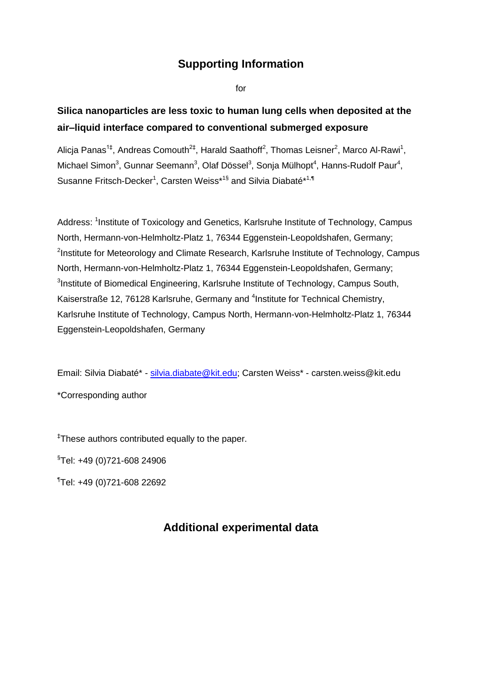# **Supporting Information**

for

# **Silica nanoparticles are less toxic to human lung cells when deposited at the air–liquid interface compared to conventional submerged exposure**

Alicja Panas<sup>1‡</sup>, Andreas Comouth<sup>2‡</sup>, Harald Saathoff<sup>2</sup>, Thomas Leisner<sup>2</sup>, Marco Al-Rawi<sup>1</sup>, Michael Simon<sup>3</sup>, Gunnar Seemann<sup>3</sup>, Olaf Dössel<sup>3</sup>, Sonja Mülhopt<sup>4</sup>, Hanns-Rudolf Paur<sup>4</sup>, Susanne Fritsch-Decker<sup>1</sup>, Carsten Weiss\*<sup>1§</sup> and Silvia Diabaté\*<sup>1,¶</sup>

Address: <sup>1</sup>Institute of Toxicology and Genetics, Karlsruhe Institute of Technology, Campus North, Hermann-von-Helmholtz-Platz 1, 76344 Eggenstein-Leopoldshafen, Germany; <sup>2</sup>Institute for Meteorology and Climate Research, Karlsruhe Institute of Technology, Campus North, Hermann-von-Helmholtz-Platz 1, 76344 Eggenstein-Leopoldshafen, Germany; <sup>3</sup>Institute of Biomedical Engineering, Karlsruhe Institute of Technology, Campus South, Kaiserstraße 12, 76128 Karlsruhe, Germany and <sup>4</sup>Institute for Technical Chemistry, Karlsruhe Institute of Technology, Campus North, Hermann-von-Helmholtz-Platz 1, 76344 Eggenstein-Leopoldshafen, Germany

Email: Silvia Diabaté\* - [silvia.diabate@kit.edu;](mailto:silvia.diabate@kit.edu) Carsten Weiss\* - carsten.weiss@kit.edu \*Corresponding author

‡These authors contributed equally to the paper.

§Tel: +49 (0)721-608 24906

¶Tel: +49 (0)721-608 22692

# **Additional experimental data**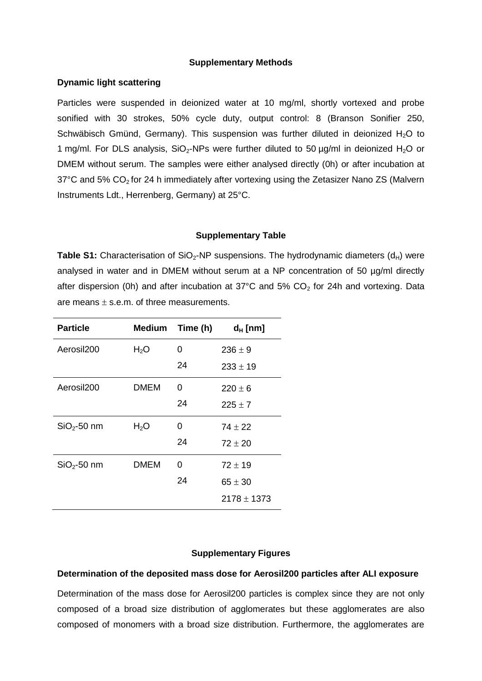#### **Supplementary Methods**

#### **Dynamic light scattering**

Particles were suspended in deionized water at 10 mg/ml, shortly vortexed and probe sonified with 30 strokes, 50% cycle duty, output control: 8 (Branson Sonifier 250, Schwäbisch Gmünd, Germany). This suspension was further diluted in deionized  $H_2O$  to 1 mg/ml. For DLS analysis,  $SiO<sub>2</sub>-NPs$  were further diluted to 50  $\mu$ g/ml in deionized H<sub>2</sub>O or DMEM without serum. The samples were either analysed directly (0h) or after incubation at  $37^{\circ}$ C and 5% CO<sub>2</sub> for 24 h immediately after vortexing using the Zetasizer Nano ZS (Malvern Instruments Ldt., Herrenberg, Germany) at 25°C.

#### **Supplementary Table**

**Table S1:** Characterisation of SiO<sub>2</sub>-NP suspensions. The hydrodynamic diameters (d<sub>H</sub>) were analysed in water and in DMEM without serum at a NP concentration of 50 µg/ml directly after dispersion (0h) and after incubation at 37°C and 5%  $CO<sub>2</sub>$  for 24h and vortexing. Data are means  $\pm$  s.e.m. of three measurements.

| <b>Particle</b>        | Medium           | Time (h) | $d_H$ [nm]      |
|------------------------|------------------|----------|-----------------|
| Aerosil200             | H <sub>2</sub> O | 0        | $236 \pm 9$     |
|                        |                  | 24       | $233 \pm 19$    |
| Aerosil <sub>200</sub> | <b>DMEM</b>      | 0        | $220 \pm 6$     |
|                        |                  | 24       | $225 \pm 7$     |
| $SiO2 - 50$ nm         | H <sub>2</sub> O | 0        | $74 + 22$       |
|                        |                  | 24       | $72 \pm 20$     |
| $SiO2$ -50 nm          | <b>DMEM</b>      | 0        | $72 \pm 19$     |
|                        |                  | 24       | $65 \pm 30$     |
|                        |                  |          | $2178 \pm 1373$ |

### **Supplementary Figures**

#### **Determination of the deposited mass dose for Aerosil200 particles after ALI exposure**

Determination of the mass dose for Aerosil200 particles is complex since they are not only composed of a broad size distribution of agglomerates but these agglomerates are also composed of monomers with a broad size distribution. Furthermore, the agglomerates are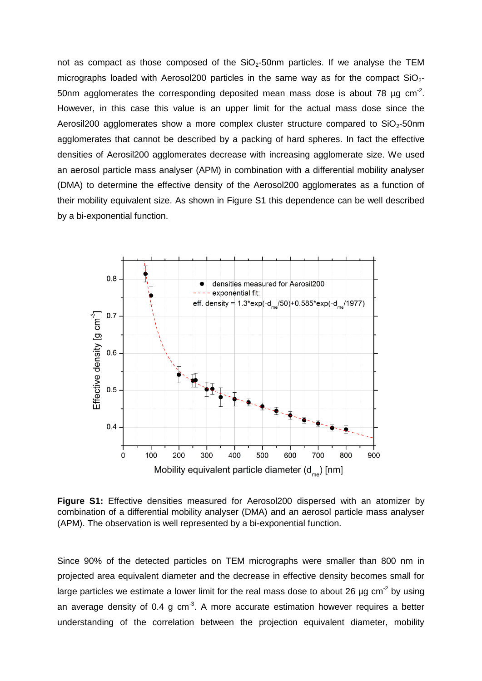not as compact as those composed of the  $SiO<sub>2</sub>$ -50nm particles. If we analyse the TEM micrographs loaded with Aerosol200 particles in the same way as for the compact  $SiO<sub>2</sub>$ -50nm agglomerates the corresponding deposited mean mass dose is about 78  $\mu$ g cm<sup>-2</sup>. However, in this case this value is an upper limit for the actual mass dose since the Aerosil200 agglomerates show a more complex cluster structure compared to  $SiO<sub>2</sub>$ -50nm agglomerates that cannot be described by a packing of hard spheres. In fact the effective densities of Aerosil200 agglomerates decrease with increasing agglomerate size. We used an aerosol particle mass analyser (APM) in combination with a differential mobility analyser (DMA) to determine the effective density of the Aerosol200 agglomerates as a function of their mobility equivalent size. As shown in Figure S1 this dependence can be well described by a bi-exponential function.



**Figure S1:** Effective densities measured for Aerosol200 dispersed with an atomizer by combination of a differential mobility analyser (DMA) and an aerosol particle mass analyser (APM). The observation is well represented by a bi-exponential function.

Since 90% of the detected particles on TEM micrographs were smaller than 800 nm in projected area equivalent diameter and the decrease in effective density becomes small for large particles we estimate a lower limit for the real mass dose to about 26  $\mu$ g cm<sup>-2</sup> by using an average density of 0.4 g cm<sup>-3</sup>. A more accurate estimation however requires a better understanding of the correlation between the projection equivalent diameter, mobility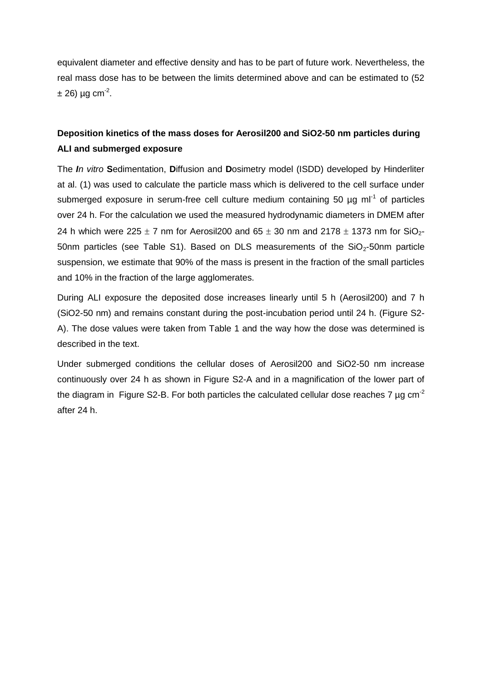equivalent diameter and effective density and has to be part of future work. Nevertheless, the real mass dose has to be between the limits determined above and can be estimated to (52  $\pm$  26) µg cm<sup>-2</sup>.

### **Deposition kinetics of the mass doses for Aerosil200 and SiO2-50 nm particles during ALI and submerged exposure**

The *In vitro* **S**edimentation, **D**iffusion and **D**osimetry model (ISDD) developed by Hinderliter at al. (1) was used to calculate the particle mass which is delivered to the cell surface under submerged exposure in serum-free cell culture medium containing 50  $\mu$ g ml<sup>-1</sup> of particles over 24 h. For the calculation we used the measured hydrodynamic diameters in DMEM after 24 h which were 225  $\pm$  7 nm for Aerosil200 and 65  $\pm$  30 nm and 2178  $\pm$  1373 nm for SiO<sub>2</sub>-50nm particles (see Table S1). Based on DLS measurements of the  $SiO<sub>2</sub>$ -50nm particle suspension, we estimate that 90% of the mass is present in the fraction of the small particles and 10% in the fraction of the large agglomerates.

During ALI exposure the deposited dose increases linearly until 5 h (Aerosil200) and 7 h (SiO2-50 nm) and remains constant during the post-incubation period until 24 h. (Figure S2- A). The dose values were taken from Table 1 and the way how the dose was determined is described in the text.

Under submerged conditions the cellular doses of Aerosil200 and SiO2-50 nm increase continuously over 24 h as shown in Figure S2-A and in a magnification of the lower part of the diagram in Figure S2-B. For both particles the calculated cellular dose reaches 7  $\mu$ g cm<sup>-2</sup> after 24 h.